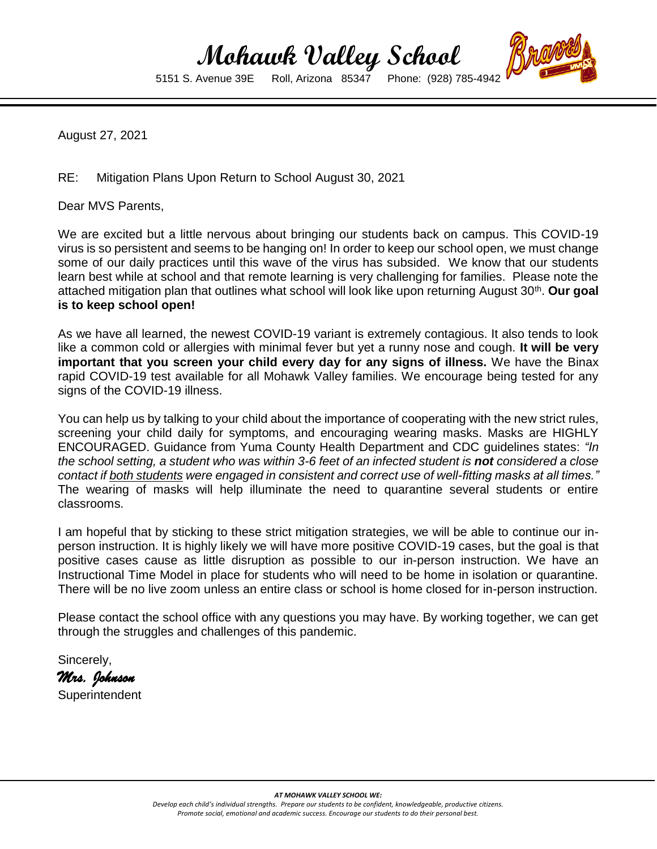## **Mohawk Valley School**<br>5151 S. Avenue 39E Roll, Arizona 85347 Phone: (928) 78

5151 S. Avenue 39E Roll, Arizona 85347 Phone: (928) 785-4942

August 27, 2021

RE: Mitigation Plans Upon Return to School August 30, 2021

Dear MVS Parents,

We are excited but a little nervous about bringing our students back on campus. This COVID-19 virus is so persistent and seems to be hanging on! In order to keep our school open, we must change some of our daily practices until this wave of the virus has subsided. We know that our students learn best while at school and that remote learning is very challenging for families. Please note the attached mitigation plan that outlines what school will look like upon returning August 30<sup>th</sup>. **Our goal is to keep school open!** 

As we have all learned, the newest COVID-19 variant is extremely contagious. It also tends to look like a common cold or allergies with minimal fever but yet a runny nose and cough. **It will be very important that you screen your child every day for any signs of illness.** We have the Binax rapid COVID-19 test available for all Mohawk Valley families. We encourage being tested for any signs of the COVID-19 illness.

You can help us by talking to your child about the importance of cooperating with the new strict rules, screening your child daily for symptoms, and encouraging wearing masks. Masks are HIGHLY ENCOURAGED. Guidance from Yuma County Health Department and CDC guidelines states: *"In the school setting, a student who was within 3-6 feet of an infected student is not considered a close contact if both students were engaged in consistent and correct use of well-fitting masks at all times."*  The wearing of masks will help illuminate the need to quarantine several students or entire classrooms.

I am hopeful that by sticking to these strict mitigation strategies, we will be able to continue our inperson instruction. It is highly likely we will have more positive COVID-19 cases, but the goal is that positive cases cause as little disruption as possible to our in-person instruction. We have an Instructional Time Model in place for students who will need to be home in isolation or quarantine. There will be no live zoom unless an entire class or school is home closed for in-person instruction.

Please contact the school office with any questions you may have. By working together, we can get through the struggles and challenges of this pandemic.

Sincerely, *Mrs. Johnson*  **Superintendent**